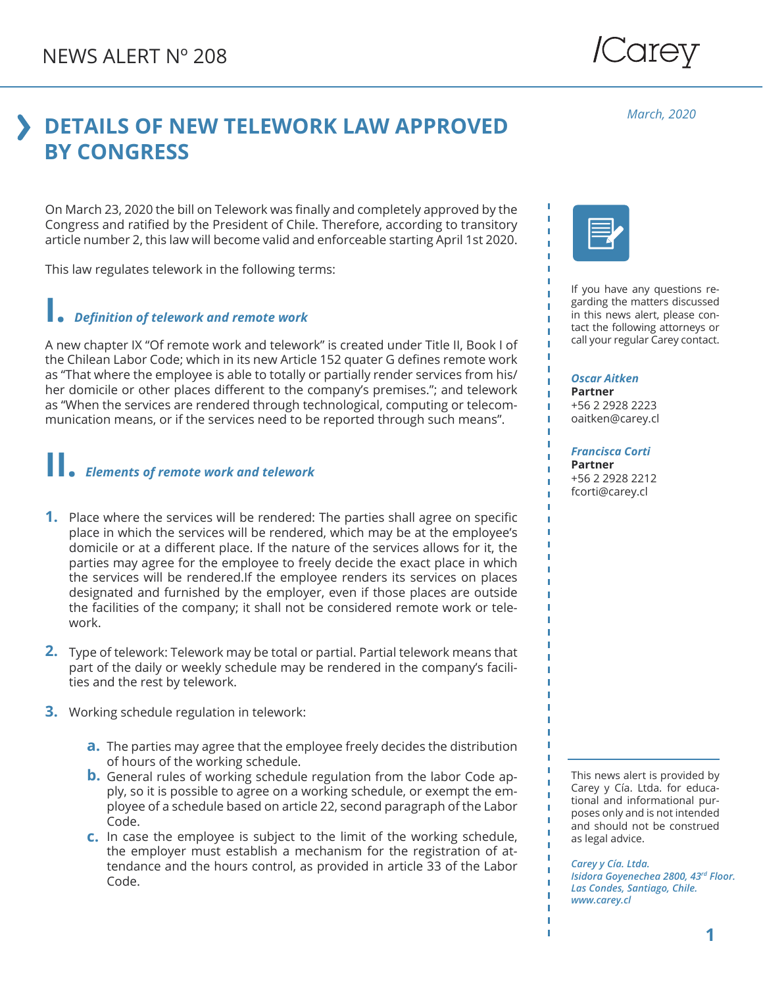# **DETAILS OF NEW TELEWORK LAW APPROVED BY CONGRESS**

On March 23, 2020 the bill on Telework was finally and completely approved by the Congress and ratified by the President of Chile. Therefore, according to transitory article number 2, this law will become valid and enforceable starting April 1st 2020.

This law regulates telework in the following terms:

### **I.** *Definition of telework and remote work*

A new chapter IX "Of remote work and telework" is created under Title II, Book I of the Chilean Labor Code; which in its new Article 152 quater G defines remote work as "That where the employee is able to totally or partially render services from his/ her domicile or other places different to the company's premises."; and telework as "When the services are rendered through technological, computing or telecommunication means, or if the services need to be reported through such means".

# **II.** *Elements of remote work and telework*

- **1.** Place where the services will be rendered: The parties shall agree on specific place in which the services will be rendered, which may be at the employee's domicile or at a different place. If the nature of the services allows for it, the parties may agree for the employee to freely decide the exact place in which the services will be rendered.If the employee renders its services on places designated and furnished by the employer, even if those places are outside the facilities of the company; it shall not be considered remote work or telework.
- 2. Type of telework: Telework may be total or partial. Partial telework means that part of the daily or weekly schedule may be rendered in the company's facilities and the rest by telework.
- Working schedule regulation in telework: **3.**
	- The parties may agree that the employee freely decides the distribution **a.** of hours of the working schedule.
	- **b.** General rules of working schedule regulation from the labor Code apply, so it is possible to agree on a working schedule, or exempt the employee of a schedule based on article 22, second paragraph of the Labor Code.
	- In case the employee is subject to the limit of the working schedule, **c.** the employer must establish a mechanism for the registration of attendance and the hours control, as provided in article 33 of the Labor Code.



If you have any questions regarding the matters discussed in this news alert, please contact the following attorneys or call your regular Carey contact.

## *Oscar Aitken*

**Partner** +56 2 2928 2223 oaitken@carey.cl

#### *Francisca Corti*

**Partner** +56 2 2928 2212 fcorti@carey.cl

This news alert is provided by Carey y Cía. Ltda. for educational and informational purposes only and is not intended and should not be construed as legal advice.

*Carey y Cía. Ltda. Isidora Goyenechea 2800, 43rd Floor. Las Condes, Santiago, Chile. www.carey.cl*

/Carey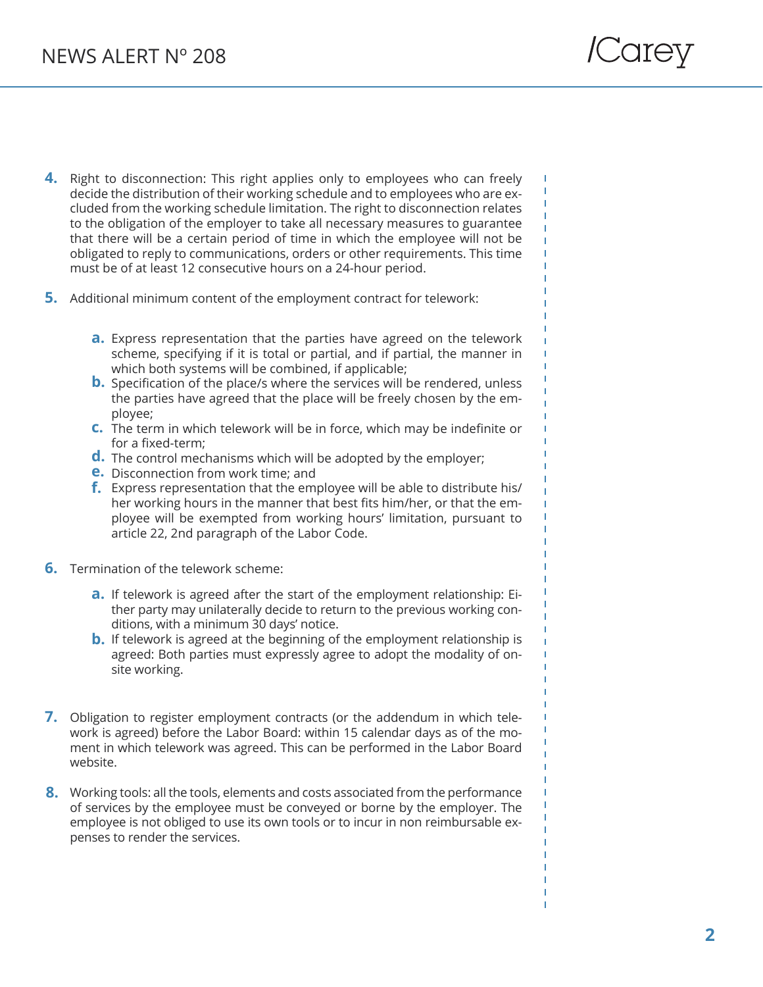- 4. Right to disconnection: This right applies only to employees who can freely decide the distribution of their working schedule and to employees who are excluded from the working schedule limitation. The right to disconnection relates to the obligation of the employer to take all necessary measures to guarantee that there will be a certain period of time in which the employee will not be obligated to reply to communications, orders or other requirements. This time must be of at least 12 consecutive hours on a 24-hour period.
- **5.** Additional minimum content of the employment contract for telework:
	- Express representation that the parties have agreed on the telework **a.** scheme, specifying if it is total or partial, and if partial, the manner in which both systems will be combined, if applicable;
	- **b.** Specification of the place/s where the services will be rendered, unless the parties have agreed that the place will be freely chosen by the employee;
	- **c.** The term in which telework will be in force, which may be indefinite or for a fixed-term;
	- d. The control mechanisms which will be adopted by the employer;
	- **e.** Disconnection from work time; and
	- Express representation that the employee will be able to distribute his/ **f.**her working hours in the manner that best fits him/her, or that the employee will be exempted from working hours' limitation, pursuant to article 22, 2nd paragraph of the Labor Code.
- **6.** Termination of the telework scheme:
	- a. If telework is agreed after the start of the employment relationship: Either party may unilaterally decide to return to the previous working conditions, with a minimum 30 days' notice.
	- **b.** If telework is agreed at the beginning of the employment relationship is agreed: Both parties must expressly agree to adopt the modality of onsite working.
- 7. Obligation to register employment contracts (or the addendum in which telework is agreed) before the Labor Board: within 15 calendar days as of the moment in which telework was agreed. This can be performed in the Labor Board website.
- Working tools: all the tools, elements and costs associated from the performance **8.** of services by the employee must be conveyed or borne by the employer. The employee is not obliged to use its own tools or to incur in non reimbursable expenses to render the services.

т